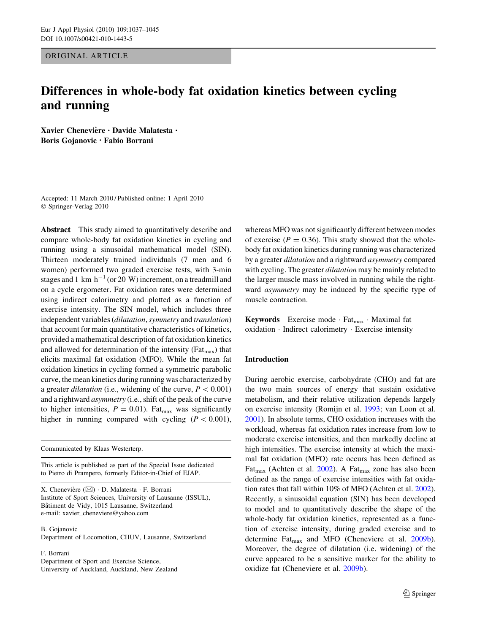ORIGINAL ARTICLE

# Differences in whole-body fat oxidation kinetics between cycling and running

Xavier Chenevière · Davide Malatesta · Boris Gojanovic • Fabio Borrani

Accepted: 11 March 2010 / Published online: 1 April 2010 © Springer-Verlag 2010

Abstract This study aimed to quantitatively describe and compare whole-body fat oxidation kinetics in cycling and running using a sinusoidal mathematical model (SIN). Thirteen moderately trained individuals (7 men and 6 women) performed two graded exercise tests, with 3-min stages and 1 km  $h^{-1}$  (or 20 W) increment, on a treadmill and on a cycle ergometer. Fat oxidation rates were determined using indirect calorimetry and plotted as a function of exercise intensity. The SIN model, which includes three independent variables (dilatation, symmetry and translation) that account for main quantitative characteristics of kinetics, provided a mathematical description of fat oxidation kinetics and allowed for determination of the intensity ( $F_{\text{at}}$ ) that elicits maximal fat oxidation (MFO). While the mean fat oxidation kinetics in cycling formed a symmetric parabolic curve, the mean kinetics during running was characterized by a greater *dilatation* (i.e., widening of the curve,  $P < 0.001$ ) and a rightward asymmetry (i.e., shift of the peak of the curve to higher intensities,  $P = 0.01$ ). Fat<sub>max</sub> was significantly higher in running compared with cycling  $(P<0.001)$ ,

Communicated by Klaas Westerterp.

This article is published as part of the Special Issue dedicated to Pietro di Prampero, formerly Editor-in-Chief of EJAP.

X. Chenevière  $(\boxtimes) \cdot$  D. Malatesta  $\cdot$  F. Borrani Institute of Sport Sciences, University of Lausanne (ISSUL), Bâtiment de Vidy, 1015 Lausanne, Switzerland e-mail: xavier\_cheneviere@yahoo.com

B. Gojanovic

Department of Locomotion, CHUV, Lausanne, Switzerland

F. Borrani

Department of Sport and Exercise Science, University of Auckland, Auckland, New Zealand

whereas MFO was not significantly different between modes of exercise ( $P = 0.36$ ). This study showed that the wholebody fat oxidation kinetics during running was characterized by a greater dilatation and a rightward asymmetry compared with cycling. The greater *dilatation* may be mainly related to the larger muscle mass involved in running while the rightward asymmetry may be induced by the specific type of muscle contraction.

**Keywords** Exercise mode  $\cdot$  Fat<sub>max</sub>  $\cdot$  Maximal fat oxidation - Indirect calorimetry - Exercise intensity

# Introduction

During aerobic exercise, carbohydrate (CHO) and fat are the two main sources of energy that sustain oxidative metabolism, and their relative utilization depends largely on exercise intensity (Romijn et al. [1993;](#page-8-0) van Loon et al. [2001](#page-8-0)). In absolute terms, CHO oxidation increases with the workload, whereas fat oxidation rates increase from low to moderate exercise intensities, and then markedly decline at high intensities. The exercise intensity at which the maximal fat oxidation (MFO) rate occurs has been defined as  $\text{Fat}_{\text{max}}$  (Achten et al. [2002\)](#page-7-0). A  $\text{Fat}_{\text{max}}$  zone has also been defined as the range of exercise intensities with fat oxidation rates that fall within 10% of MFO (Achten et al. [2002](#page-7-0)). Recently, a sinusoidal equation (SIN) has been developed to model and to quantitatively describe the shape of the whole-body fat oxidation kinetics, represented as a function of exercise intensity, during graded exercise and to determine  $\text{Fat}_{\text{max}}$  and MFO (Cheneviere et al. [2009b](#page-7-0)). Moreover, the degree of dilatation (i.e. widening) of the curve appeared to be a sensitive marker for the ability to oxidize fat (Cheneviere et al. [2009b\)](#page-7-0).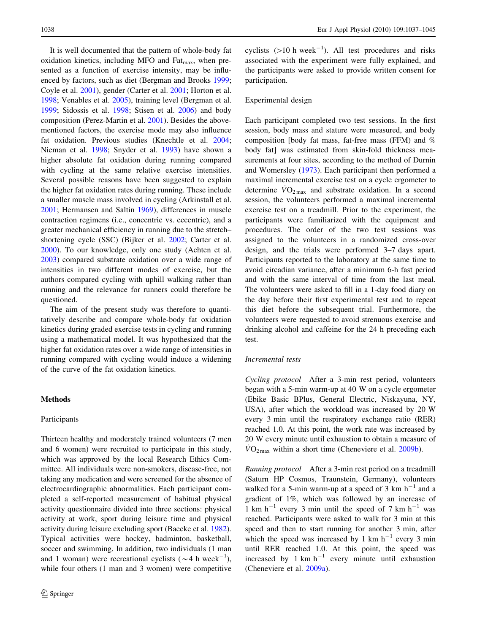It is well documented that the pattern of whole-body fat oxidation kinetics, including MFO and Fat $_{\text{max}}$ , when presented as a function of exercise intensity, may be influenced by factors, such as diet (Bergman and Brooks [1999](#page-7-0); Coyle et al. [2001](#page-7-0)), gender (Carter et al. [2001;](#page-7-0) Horton et al. [1998;](#page-7-0) Venables et al. [2005](#page-8-0)), training level (Bergman et al. [1999;](#page-7-0) Sidossis et al. [1998;](#page-8-0) Stisen et al. [2006\)](#page-8-0) and body composition (Perez-Martin et al. [2001\)](#page-8-0). Besides the abovementioned factors, the exercise mode may also influence fat oxidation. Previous studies (Knechtle et al. [2004](#page-7-0); Nieman et al. [1998](#page-7-0); Snyder et al. [1993\)](#page-8-0) have shown a higher absolute fat oxidation during running compared with cycling at the same relative exercise intensities. Several possible reasons have been suggested to explain the higher fat oxidation rates during running. These include a smaller muscle mass involved in cycling (Arkinstall et al. [2001;](#page-7-0) Hermansen and Saltin [1969\)](#page-7-0), differences in muscle contraction regimens (i.e., concentric vs. eccentric), and a greater mechanical efficiency in running due to the stretch– shortening cycle (SSC) (Bijker et al. [2002;](#page-7-0) Carter et al. [2000\)](#page-7-0). To our knowledge, only one study (Achten et al. [2003\)](#page-7-0) compared substrate oxidation over a wide range of intensities in two different modes of exercise, but the authors compared cycling with uphill walking rather than running and the relevance for runners could therefore be questioned.

The aim of the present study was therefore to quantitatively describe and compare whole-body fat oxidation kinetics during graded exercise tests in cycling and running using a mathematical model. It was hypothesized that the higher fat oxidation rates over a wide range of intensities in running compared with cycling would induce a widening of the curve of the fat oxidation kinetics.

# Methods

#### Participants

Thirteen healthy and moderately trained volunteers (7 men and 6 women) were recruited to participate in this study, which was approved by the local Research Ethics Committee. All individuals were non-smokers, disease-free, not taking any medication and were screened for the absence of electrocardiographic abnormalities. Each participant completed a self-reported measurement of habitual physical activity questionnaire divided into three sections: physical activity at work, sport during leisure time and physical activity during leisure excluding sport (Baecke et al. [1982](#page-7-0)). Typical activities were hockey, badminton, basketball, soccer and swimming. In addition, two individuals (1 man and 1 woman) were recreational cyclists ( $\sim$  4 h week<sup>-1</sup>), while four others (1 man and 3 women) were competitive

cyclists  $(>10 \text{ h week}^{-1})$ . All test procedures and risks associated with the experiment were fully explained, and the participants were asked to provide written consent for participation.

# Experimental design

Each participant completed two test sessions. In the first session, body mass and stature were measured, and body composition [body fat mass, fat-free mass (FFM) and % body fat] was estimated from skin-fold thickness measurements at four sites, according to the method of Durnin and Womersley [\(1973](#page-7-0)). Each participant then performed a maximal incremental exercise test on a cycle ergometer to determine  $\dot{V}O_{2\text{max}}$  and substrate oxidation. In a second session, the volunteers performed a maximal incremental exercise test on a treadmill. Prior to the experiment, the participants were familiarized with the equipment and procedures. The order of the two test sessions was assigned to the volunteers in a randomized cross-over design, and the trials were performed 3–7 days apart. Participants reported to the laboratory at the same time to avoid circadian variance, after a minimum 6-h fast period and with the same interval of time from the last meal. The volunteers were asked to fill in a 1-day food diary on the day before their first experimental test and to repeat this diet before the subsequent trial. Furthermore, the volunteers were requested to avoid strenuous exercise and drinking alcohol and caffeine for the 24 h preceding each test.

# Incremental tests

Cycling protocol After a 3-min rest period, volunteers began with a 5-min warm-up at 40 W on a cycle ergometer (Ebike Basic BPlus, General Electric, Niskayuna, NY, USA), after which the workload was increased by 20 W every 3 min until the respiratory exchange ratio (RER) reached 1.0. At this point, the work rate was increased by 20 W every minute until exhaustion to obtain a measure of  $VO_{2\text{ max}}$  within a short time (Cheneviere et al. [2009b\)](#page-7-0).

Running protocol After a 3-min rest period on a treadmill (Saturn HP Cosmos, Traunstein, Germany), volunteers walked for a 5-min warm-up at a speed of 3 km  $h^{-1}$  and a gradient of 1%, which was followed by an increase of 1 km h<sup>-1</sup> every 3 min until the speed of 7 km h<sup>-1</sup> was reached. Participants were asked to walk for 3 min at this speed and then to start running for another 3 min, after which the speed was increased by 1 km  $h^{-1}$  every 3 min until RER reached 1.0. At this point, the speed was increased by 1 km  $h^{-1}$  every minute until exhaustion (Cheneviere et al. [2009a\)](#page-7-0).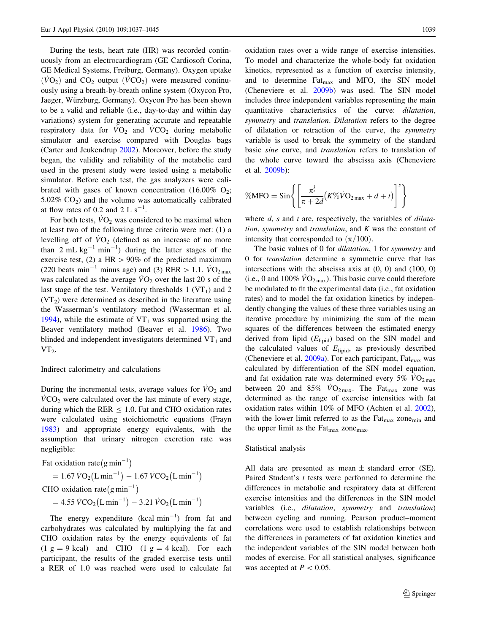During the tests, heart rate (HR) was recorded continuously from an electrocardiogram (GE Cardiosoft Corina, GE Medical Systems, Freiburg, Germany). Oxygen uptake  $(\dot{V}O_2)$  and CO<sub>2</sub> output  $(\dot{V}CO_2)$  were measured continuously using a breath-by-breath online system (Oxycon Pro, Jaeger, Würzburg, Germany). Oxycon Pro has been shown to be a valid and reliable (i.e., day-to-day and within day variations) system for generating accurate and repeatable respiratory data for  $\dot{V}\text{O}_2$  and  $\dot{V}\text{CO}_2$  during metabolic simulator and exercise compared with Douglas bags (Carter and Jeukendrup [2002](#page-7-0)). Moreover, before the study began, the validity and reliability of the metabolic card used in the present study were tested using a metabolic simulator. Before each test, the gas analyzers were calibrated with gases of known concentration  $(16.00\% \text{ O}_2)$ ; 5.02%  $CO<sub>2</sub>$ ) and the volume was automatically calibrated at flow rates of 0.2 and 2 L  $s^{-1}$ .

For both tests,  $\dot{V}O_2$  was considered to be maximal when at least two of the following three criteria were met: (1) a levelling off of  $\dot{V}O_2$  (defined as an increase of no more than 2 mL  $kg^{-1}$  min<sup>-1</sup>) during the latter stages of the exercise test, (2) a HR  $> 90\%$  of the predicted maximum (220 beats min<sup>-1</sup> minus age) and (3) RER  $> 1.1$ .  $\dot{V}O_{2\text{max}}$ was calculated as the average  $\dot{V}O_2$  over the last 20 s of the last stage of the test. Ventilatory thresholds  $1 (VT_1)$  and  $2$  $(VT<sub>2</sub>)$  were determined as described in the literature using the Wasserman's ventilatory method (Wasserman et al. [1994\)](#page-8-0), while the estimate of  $VT_1$  was supported using the Beaver ventilatory method (Beaver et al. [1986\)](#page-7-0). Two blinded and independent investigators determined  $VT_1$  and  $VT_2$ .

### Indirect calorimetry and calculations

During the incremental tests, average values for  $VO<sub>2</sub>$  and  $VCO<sub>2</sub>$  were calculated over the last minute of every stage, during which the RER  $\leq$  1.0. Fat and CHO oxidation rates were calculated using stoichiometric equations (Frayn [1983\)](#page-7-0) and appropriate energy equivalents, with the assumption that urinary nitrogen excretion rate was negligible:

Fat oxidation rate  $(g \text{ min}^{-1})$ 

$$
= 1.67 \,\dot{V}O_2(L \,\text{min}^{-1}) - 1.67 \,\dot{V}CO_2(L \,\text{min}^{-1})
$$

CHO oxidation rate  $(g \text{ min}^{-1})$ 

 $= 4.55 \,\dot{V} \text{CO}_2 \left( \text{L min}^{-1} \right) - 3.21 \,\dot{V} \text{O}_2 \left( \text{L min}^{-1} \right)$ 

The energy expenditure  $(kcal min^{-1})$  from fat and carbohydrates was calculated by multiplying the fat and CHO oxidation rates by the energy equivalents of fat  $(1 \text{ g} = 9 \text{ kcal})$  and CHO  $(1 \text{ g} = 4 \text{ kcal})$ . For each participant, the results of the graded exercise tests until a RER of 1.0 was reached were used to calculate fat oxidation rates over a wide range of exercise intensities. To model and characterize the whole-body fat oxidation kinetics, represented as a function of exercise intensity, and to determine  $Fat_{\text{max}}$  and MFO, the SIN model (Cheneviere et al. [2009b](#page-7-0)) was used. The SIN model includes three independent variables representing the main quantitative characteristics of the curve: dilatation, symmetry and translation. Dilatation refers to the degree of dilatation or retraction of the curve, the symmetry variable is used to break the symmetry of the standard basic sine curve, and translation refers to translation of the whole curve toward the abscissa axis (Cheneviere et al. [2009b\)](#page-7-0):

$$
\% \text{MFO} = \text{Sin}\left\{ \left[ \frac{\pi^{\frac{1}{s}}}{\pi + 2d} (K\% \dot{V}O_{2\max} + d + t) \right]^{s} \right\}
$$

where  $d$ ,  $s$  and  $t$  are, respectively, the variables of *dilata*tion, symmetry and translation, and  $K$  was the constant of intensity that corresponded to  $(\pi/100)$ .

The basic values of 0 for *dilatation*, 1 for *symmetry* and 0 for translation determine a symmetric curve that has intersections with the abscissa axis at (0, 0) and (100, 0) (i.e., 0 and 100%  $\rm\dot{VO}_{2\,max}$ ). This basic curve could therefore be modulated to fit the experimental data (i.e., fat oxidation rates) and to model the fat oxidation kinetics by independently changing the values of these three variables using an iterative procedure by minimizing the sum of the mean squares of the differences between the estimated energy derived from lipid  $(E_{\text{linid}})$  based on the SIN model and the calculated values of  $E<sub>lipid</sub>$ , as previously described (Cheneviere et al.  $2009a$ ). For each participant, Fat<sub>max</sub> was calculated by differentiation of the SIN model equation, and fat oxidation rate was determined every 5%  $\rm\ddot{VO}_{2\,max}$ between 20 and 85%  $\overline{VO}_{2\text{ max}}$ . The Fat<sub>max</sub> zone was determined as the range of exercise intensities with fat oxidation rates within 10% of MFO (Achten et al. [2002](#page-7-0)), with the lower limit referred to as the  $F_{\text{at}_{\text{max}}}$  zone<sub>min</sub> and the upper limit as the  $F_{\text{at}_{\text{max}}}$  zone<sub>max</sub>.

#### Statistical analysis

All data are presented as mean  $\pm$  standard error (SE). Paired Student's t tests were performed to determine the differences in metabolic and respiratory data at different exercise intensities and the differences in the SIN model variables (i.e., dilatation, symmetry and translation) between cycling and running. Pearson product–moment correlations were used to establish relationships between the differences in parameters of fat oxidation kinetics and the independent variables of the SIN model between both modes of exercise. For all statistical analyses, significance was accepted at  $P < 0.05$ .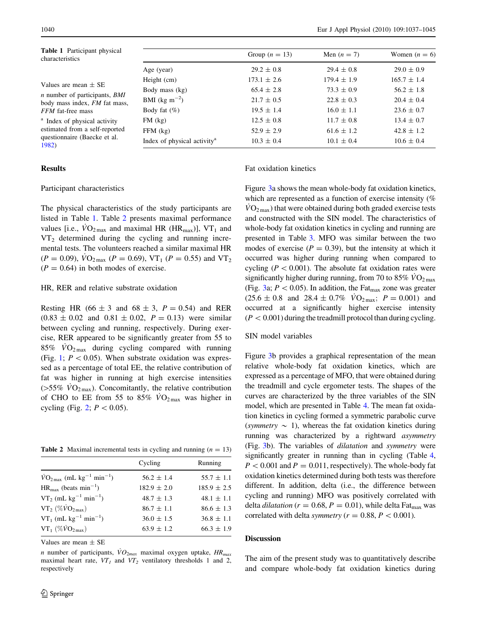| <b>Table 1</b> Participant physical<br>characteristics                                                                               |                                               | Group $(n = 13)$ | Men $(n = 7)$   | Women $(n = 6)$ |
|--------------------------------------------------------------------------------------------------------------------------------------|-----------------------------------------------|------------------|-----------------|-----------------|
| Values are mean $\pm$ SE<br><i>n</i> number of participants, <i>BMI</i><br>body mass index, FM fat mass,<br><i>FFM</i> fat-free mass | Age (year)                                    | $29.2 \pm 0.8$   | $29.4 \pm 0.8$  | $29.0 \pm 0.9$  |
|                                                                                                                                      | Height (cm)                                   | $173.1 \pm 2.6$  | $179.4 \pm 1.9$ | $165.7 \pm 1.4$ |
|                                                                                                                                      | Body mass (kg)                                | $65.4 \pm 2.8$   | $73.3 \pm 0.9$  | $56.2 \pm 1.8$  |
|                                                                                                                                      | <b>BMI</b> (kg m <sup><math>-2</math></sup> ) | $21.7 \pm 0.5$   | $22.8 \pm 0.3$  | $20.4 \pm 0.4$  |
|                                                                                                                                      | Body fat $(\%)$                               | $19.5 \pm 1.4$   | $16.0 \pm 1.1$  | $23.6 \pm 0.7$  |
| <sup>a</sup> Index of physical activity<br>estimated from a self-reported<br>questionnaire (Baecke et al.<br>1982)                   | $FM$ $(kg)$                                   | $12.5 \pm 0.8$   | $11.7 \pm 0.8$  | $13.4 \pm 0.7$  |
|                                                                                                                                      | $FFM$ $(kg)$                                  | $52.9 \pm 2.9$   | $61.6 \pm 1.2$  | $42.8 \pm 1.2$  |
|                                                                                                                                      | Index of physical activity <sup>a</sup>       | $10.3 \pm 0.4$   | $10.1 \pm 0.4$  | $10.6 \pm 0.4$  |

#### Results

#### Participant characteristics

The physical characteristics of the study participants are listed in Table 1. Table 2 presents maximal performance values [i.e.,  $\dot{V}O_{2\,\text{max}}$  and maximal HR (HR<sub>max</sub>)], VT<sub>1</sub> and  $VT_2$  determined during the cycling and running incremental tests. The volunteers reached a similar maximal HR  $(P = 0.09)$ ,  $\dot{V}\text{O}_{2 \text{ max}}$  ( $P = 0.69$ ), VT<sub>1</sub> ( $P = 0.55$ ) and VT<sub>2</sub>  $(P = 0.64)$  in both modes of exercise.

#### HR, RER and relative substrate oxidation

Resting HR (66  $\pm$  3 and 68  $\pm$  3,  $P = 0.54$ ) and RER  $(0.83 \pm 0.02 \text{ and } 0.81 \pm 0.02, P = 0.13)$  were similar between cycling and running, respectively. During exercise, RER appeared to be significantly greater from 55 to  $85\%$   $\rm\dot{VO}_{2\,max}$  during cycling compared with running (Fig. [1](#page-4-0);  $P < 0.05$ ). When substrate oxidation was expressed as a percentage of total EE, the relative contribution of fat was higher in running at high exercise intensities ( $>55\%$  VO<sub>2 max</sub>). Concomitantly, the relative contribution of CHO to EE from 55 to 85%  $\overline{VO}_{2\text{ max}}$  was higher in cycling (Fig. [2](#page-4-0);  $P < 0.05$ ).

**Table 2** Maximal incremental tests in cycling and running  $(n = 13)$ 

|                                                                     | Cycling         | Running         |
|---------------------------------------------------------------------|-----------------|-----------------|
| $\dot{V}O_{2\,\text{max}}$ (mL kg <sup>-1</sup> min <sup>-1</sup> ) | $56.2 \pm 1.4$  | $55.7 \pm 1.1$  |
| $HR_{\text{max}}$ (beats min <sup>-1</sup> )                        | $182.9 \pm 2.0$ | $185.9 \pm 2.5$ |
| $VT_2$ (mL kg <sup>-1</sup> min <sup>-1</sup> )                     | $48.7 \pm 1.3$  | $48.1 \pm 1.1$  |
| $VT_2(\%VO_{2\max})$                                                | $86.7 \pm 1.1$  | $86.6 \pm 1.3$  |
| $VT_1$ (mL kg <sup>-1</sup> min <sup>-1</sup> )                     | $36.0 \pm 1.5$  | $36.8 \pm 1.1$  |
| $VT_1(\%\dot{V}O_{2\text{max}})$                                    | $63.9 \pm 1.2$  | $66.3 \pm 1.9$  |
|                                                                     |                 |                 |

Values are mean  $\pm$  SE

n number of participants,  $VO_{2max}$  maximal oxygen uptake,  $HR_{max}$ maximal heart rate,  $VT_1$  and  $VT_2$  ventilatory thresholds 1 and 2, respectively

#### Fat oxidation kinetics

Figure [3a](#page-5-0) shows the mean whole-body fat oxidation kinetics, which are represented as a function of exercise intensity (%)  $VO_{2\text{ max}}$ ) that were obtained during both graded exercise tests and constructed with the SIN model. The characteristics of whole-body fat oxidation kinetics in cycling and running are presented in Table [3](#page-6-0). MFO was similar between the two modes of exercise ( $P = 0.39$ ), but the intensity at which it occurred was higher during running when compared to cycling ( $P < 0.001$ ). The absolute fat oxidation rates were significantly higher during running, from 70 to 85%  $\rm\acute{VO}_{2\,max}$ (Fig. [3a](#page-5-0);  $P < 0.05$ ). In addition, the Fat<sub>max</sub> zone was greater  $(25.6 \pm 0.8 \text{ and } 28.4 \pm 0.7\% \text{ VO}_{2\text{max}}; P = 0.001)$  and occurred at a significantly higher exercise intensity  $(P<0.001)$  during the treadmill protocol than during cycling.

# SIN model variables

Figure [3b](#page-5-0) provides a graphical representation of the mean relative whole-body fat oxidation kinetics, which are expressed as a percentage of MFO, that were obtained during the treadmill and cycle ergometer tests. The shapes of the curves are characterized by the three variables of the SIN model, which are presented in Table [4.](#page-6-0) The mean fat oxidation kinetics in cycling formed a symmetric parabolic curve (symmetry  $\sim$  1), whereas the fat oxidation kinetics during running was characterized by a rightward asymmetry (Fig. [3b](#page-5-0)). The variables of dilatation and symmetry were significantly greater in running than in cycling (Table [4,](#page-6-0)  $P < 0.001$  and  $P = 0.011$ , respectively). The whole-body fat oxidation kinetics determined during both tests was therefore different. In addition, delta (i.e., the difference between cycling and running) MFO was positively correlated with delta *dilatation* ( $r = 0.68, P = 0.01$ ), while delta Fat<sub>max</sub> was correlated with delta symmetry ( $r = 0.88, P < 0.001$ ).

## Discussion

The aim of the present study was to quantitatively describe and compare whole-body fat oxidation kinetics during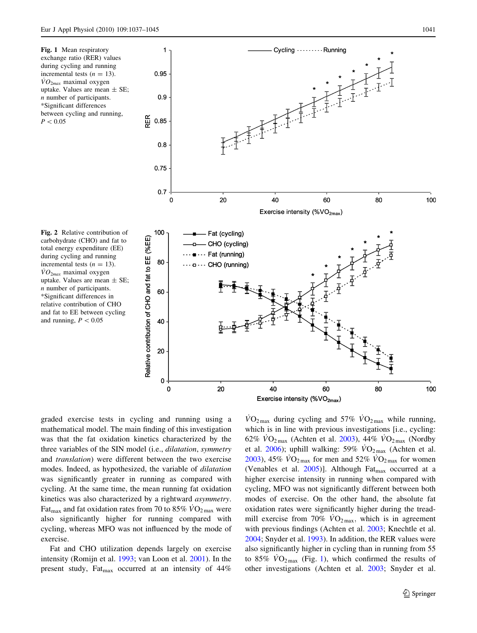<span id="page-4-0"></span>



Fig. 2 Relative contribution of carbohydrate (CHO) and fat to total energy expenditure (EE) during cycling and running incremental tests  $(n = 13)$ .  $\dot{V}O_{2max}$  maximal oxygen uptake. Values are mean  $\pm$  SE; n number of participants. \*Significant differences in relative contribution of CHO and fat to EE between cycling and running,  $P < 0.05$ 

graded exercise tests in cycling and running using a mathematical model. The main finding of this investigation was that the fat oxidation kinetics characterized by the three variables of the SIN model (i.e., dilatation, symmetry and translation) were different between the two exercise modes. Indeed, as hypothesized, the variable of dilatation was significantly greater in running as compared with cycling. At the same time, the mean running fat oxidation kinetics was also characterized by a rightward asymmetry. Fat<sub>max</sub> and fat oxidation rates from 70 to 85%  $\rm\ddot{V}O_{2\,max}$  were also significantly higher for running compared with cycling, whereas MFO was not influenced by the mode of exercise.

Fat and CHO utilization depends largely on exercise intensity (Romijn et al. [1993](#page-8-0); van Loon et al. [2001\)](#page-8-0). In the present study, Fat<sub>max</sub> occurred at an intensity of  $44\%$ 

 $\rm\dot{VO}_{2\,max}$  during cycling and 57%  $\rm\dot{VO}_{2\,max}$  while running, which is in line with previous investigations [i.e., cycling: 62%  $VO_{2\text{ max}}$  (Achten et al. [2003\)](#page-7-0), 44%  $VO_{2\text{ max}}$  (Nordby et al. [2006](#page-8-0)); uphill walking: 59%  $\overline{VO}_{2\text{max}}$  (Achten et al. [2003](#page-7-0)), 45%  $\rm\dot{VO}_{2\,max}$  for men and 52%  $\rm\dot{VO}_{2\,max}$  for women (Venables et al. [2005](#page-8-0))]. Although Fat<sub>max</sub> occurred at a higher exercise intensity in running when compared with cycling, MFO was not significantly different between both modes of exercise. On the other hand, the absolute fat oxidation rates were significantly higher during the treadmill exercise from 70%  $\dot{V}O_{2\text{max}}$ , which is in agreement with previous findings (Achten et al. [2003;](#page-7-0) Knechtle et al. [2004](#page-7-0); Snyder et al. [1993\)](#page-8-0). In addition, the RER values were also significantly higher in cycling than in running from 55 to 85%  $\rm\dot{VO}_{2\,max}$  (Fig. 1), which confirmed the results of other investigations (Achten et al. [2003](#page-7-0); Snyder et al.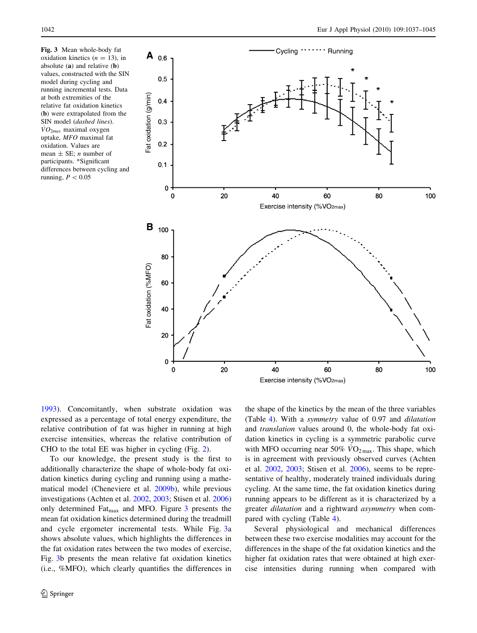<span id="page-5-0"></span>Fig. 3 Mean whole-body fat oxidation kinetics  $(n = 13)$ , in absolute (a) and relative (b) values, constructed with the SIN model during cycling and running incremental tests. Data at both extremities of the relative fat oxidation kinetics (b) were extrapolated from the SIN model (dashed lines).  $\overline{VO}_{2\mu\alpha}$  maximal oxygen uptake, MFO maximal fat oxidation. Values are mean  $\pm$  SE; *n* number of participants. \*Significant differences between cycling and running,  $P < 0.05$ 



[1993\)](#page-8-0). Concomitantly, when substrate oxidation was expressed as a percentage of total energy expenditure, the relative contribution of fat was higher in running at high exercise intensities, whereas the relative contribution of CHO to the total EE was higher in cycling (Fig. [2\)](#page-4-0).

To our knowledge, the present study is the first to additionally characterize the shape of whole-body fat oxidation kinetics during cycling and running using a mathematical model (Cheneviere et al. [2009b](#page-7-0)), while previous investigations (Achten et al. [2002](#page-7-0), [2003](#page-7-0); Stisen et al. [2006\)](#page-8-0) only determined  $\text{Fat}_{\text{max}}$  and MFO. Figure 3 presents the mean fat oxidation kinetics determined during the treadmill and cycle ergometer incremental tests. While Fig. 3a shows absolute values, which highlights the differences in the fat oxidation rates between the two modes of exercise, Fig. 3b presents the mean relative fat oxidation kinetics (i.e., %MFO), which clearly quantifies the differences in the shape of the kinetics by the mean of the three variables (Table [4\)](#page-6-0). With a symmetry value of 0.97 and dilatation and translation values around 0, the whole-body fat oxidation kinetics in cycling is a symmetric parabolic curve with MFO occurring near 50%  $VO_{2\text{ max}}$ . This shape, which is in agreement with previously observed curves (Achten et al. [2002,](#page-7-0) [2003](#page-7-0); Stisen et al. [2006](#page-8-0)), seems to be representative of healthy, moderately trained individuals during cycling. At the same time, the fat oxidation kinetics during running appears to be different as it is characterized by a greater dilatation and a rightward asymmetry when compared with cycling (Table [4](#page-6-0)).

Several physiological and mechanical differences between these two exercise modalities may account for the differences in the shape of the fat oxidation kinetics and the higher fat oxidation rates that were obtained at high exercise intensities during running when compared with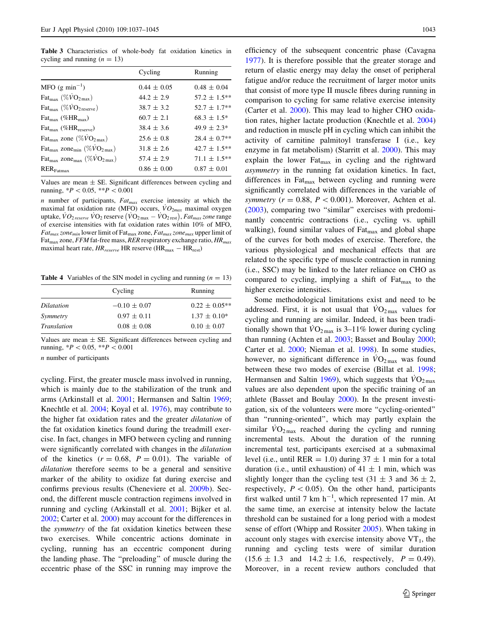<span id="page-6-0"></span>Table 3 Characteristics of whole-body fat oxidation kinetics in cycling and running  $(n = 13)$ 

|                                                                       | Cycling         | Running           |
|-----------------------------------------------------------------------|-----------------|-------------------|
| MFO $(g \text{ min}^{-1})$                                            | $0.44 \pm 0.05$ | $0.48 \pm 0.04$   |
| $\text{Fat}_{\text{max}} (\% \dot{V}O_{2\text{max}})$                 | $44.2 \pm 2.9$  | $57.2 \pm 1.5***$ |
| $\text{Fat}_{\text{max}} (\% \dot{V}O_{2 \text{ reserve}})$           | $38.7 \pm 3.2$  | $52.7 \pm 1.7**$  |
| $\text{Fat}_{\text{max}}$ (% $\text{HR}_{\text{max}}$ )               | $60.7 \pm 2.1$  | $68.3 \pm 1.5^*$  |
| $\text{Fat}_{\text{max}}$ (% $\text{HR}_{\text{reserve}}$ )           | $38.4 \pm 3.6$  | $49.9 \pm 2.3^*$  |
| Fat <sub>max</sub> zone (% $\overline{VO}_{2\text{ max}}$ )           | $25.6 \pm 0.8$  | $28.4 \pm 0.7**$  |
| Fat <sub>max</sub> zone <sub>min</sub> (% $\dot{V}O_{2\text{max}}$ )  | $31.8 \pm 2.6$  | $42.7 \pm 1.5***$ |
| Fat <sub>max</sub> zone <sub>max</sub> (% $\dot{V}O_{2\text{ max}}$ ) | $57.4 \pm 2.9$  | $71.1 \pm 1.5***$ |
| RER <sub>Fatmax</sub>                                                 | $0.86 \pm 0.00$ | $0.87 \pm 0.01$   |
|                                                                       |                 |                   |

Values are mean  $\pm$  SE. Significant differences between cycling and running,  $*P < 0.05$ ,  $**P < 0.001$ 

 $n$  number of participants,  $Fat_{max}$  exercise intensity at which the maximal fat oxidation rate (MFO) occurs,  $\dot{V}O_{2max}$  maximal oxygen maximal rat oxidation rate (ivit  $O_j$  occurs,  $v_{2max}$  maximal oxygen<br>uptake,  $\dot{V}O_{2\,reserve}$   $\dot{V}O_2$  reserve  $(\dot{V}O_{2\,max} - \dot{V}O_{2\,rest})$ ,  $Fat_{max}$  zone range of exercise intensities with fat oxidation rates within 10% of MFO,  $Fat_{max}$  zone<sub>min</sub> lower limit of Fat<sub>max</sub> zone,  $Fat_{max}$  zone<sub>max</sub> upper limit of Fat<sub>max</sub> zone, FFM fat-free mass, RER respiratory exchange ratio,  $HR_{max}$ maximal heart rate,  $HR_{reserve}$  HR reserve (HR<sub>max</sub> - HR<sub>rest</sub>)

**Table 4** Variables of the SIN model in cycling and running  $(n = 13)$ 

|             | Cycling          | Running           |
|-------------|------------------|-------------------|
| Dilatation  | $-0.10 \pm 0.07$ | $0.22 \pm 0.05**$ |
| Symmetry    | $0.97 \pm 0.11$  | $1.37 \pm 0.10^*$ |
| Translation | $0.08 \pm 0.08$  | $0.10 \pm 0.07$   |

Values are mean  $\pm$  SE. Significant differences between cycling and running,  $*P < 0.05$ ,  $**P < 0.001$ 

n number of participants

cycling. First, the greater muscle mass involved in running, which is mainly due to the stabilization of the trunk and arms (Arkinstall et al. [2001](#page-7-0); Hermansen and Saltin [1969](#page-7-0); Knechtle et al. [2004;](#page-7-0) Koyal et al. [1976\)](#page-7-0), may contribute to the higher fat oxidation rates and the greater dilatation of the fat oxidation kinetics found during the treadmill exercise. In fact, changes in MFO between cycling and running were significantly correlated with changes in the dilatation of the kinetics  $(r = 0.68, P = 0.01)$ . The variable of dilatation therefore seems to be a general and sensitive marker of the ability to oxidize fat during exercise and confirms previous results (Cheneviere et al. [2009b\)](#page-7-0). Second, the different muscle contraction regimens involved in running and cycling (Arkinstall et al. [2001;](#page-7-0) Bijker et al. [2002;](#page-7-0) Carter et al. [2000\)](#page-7-0) may account for the differences in the symmetry of the fat oxidation kinetics between these two exercises. While concentric actions dominate in cycling, running has an eccentric component during the landing phase. The ''preloading'' of muscle during the eccentric phase of the SSC in running may improve the efficiency of the subsequent concentric phase (Cavagna [1977](#page-7-0)). It is therefore possible that the greater storage and return of elastic energy may delay the onset of peripheral fatigue and/or reduce the recruitment of larger motor units that consist of more type II muscle fibres during running in comparison to cycling for same relative exercise intensity (Carter et al. [2000](#page-7-0)). This may lead to higher CHO oxidation rates, higher lactate production (Knechtle et al. [2004\)](#page-7-0) and reduction in muscle pH in cycling which can inhibit the activity of carnitine palmitoyl transferase I (i.e., key enzyme in fat metabolism) (Starritt et al. [2000\)](#page-8-0). This may explain the lower Fat<sub>max</sub> in cycling and the rightward asymmetry in the running fat oxidation kinetics. In fact, differences in Fat $_{\text{max}}$  between cycling and running were significantly correlated with differences in the variable of symmetry ( $r = 0.88$ ,  $P < 0.001$ ). Moreover, Achten et al. [\(2003](#page-7-0)), comparing two ''similar'' exercises with predominantly concentric contractions (i.e., cycling vs. uphill walking), found similar values of Fat<sub>max</sub> and global shape of the curves for both modes of exercise. Therefore, the various physiological and mechanical effects that are related to the specific type of muscle contraction in running (i.e., SSC) may be linked to the later reliance on CHO as compared to cycling, implying a shift of  $F_{\text{at}_{\text{max}}}$  to the higher exercise intensities.

Some methodological limitations exist and need to be addressed. First, it is not usual that  $\overline{VO}_{2\text{ max}}$  values for cycling and running are similar. Indeed, it has been traditionally shown that  $VO_{2\text{ max}}$  is 3–11% lower during cycling than running (Achten et al. [2003;](#page-7-0) Basset and Boulay [2000](#page-7-0); Carter et al. [2000;](#page-7-0) Nieman et al. [1998](#page-7-0)). In some studies, however, no significant difference in  $\rm{VO}_{2\,max}$  was found between these two modes of exercise (Billat et al. [1998](#page-7-0); Hermansen and Saltin [1969\)](#page-7-0), which suggests that  $\rm\ddot{VO}_{2\,max}$ values are also dependent upon the specific training of an athlete (Basset and Boulay [2000](#page-7-0)). In the present investigation, six of the volunteers were more ''cycling-oriented'' than ''running-oriented'', which may partly explain the similar  $VO_{2\text{max}}$  reached during the cycling and running incremental tests. About the duration of the running incremental test, participants exercised at a submaximal level (i.e., until RER = 1.0) during  $37 \pm 1$  min for a total duration (i.e., until exhaustion) of  $41 \pm 1$  min, which was slightly longer than the cycling test  $(31 \pm 3 \text{ and } 36 \pm 2,$ respectively,  $P < 0.05$ ). On the other hand, participants first walked until 7 km  $h^{-1}$ , which represented 17 min. At the same time, an exercise at intensity below the lactate threshold can be sustained for a long period with a modest sense of effort (Whipp and Rossiter [2005](#page-8-0)). When taking in account only stages with exercise intensity above  $VT_1$ , the running and cycling tests were of similar duration  $(15.6 \pm 1.3 \text{ and } 14.2 \pm 1.6, \text{ respectively}, P = 0.49).$ Moreover, in a recent review authors concluded that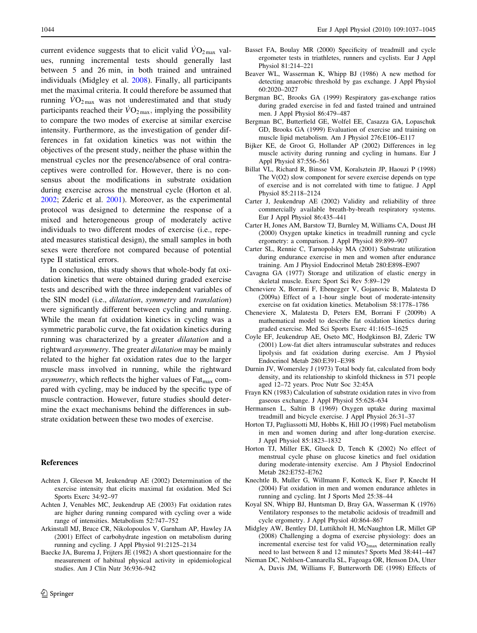<span id="page-7-0"></span>current evidence suggests that to elicit valid  $\dot{V}O_{2\text{ max}}$  values, running incremental tests should generally last between 5 and 26 min, in both trained and untrained individuals (Midgley et al. 2008). Finally, all participants met the maximal criteria. It could therefore be assumed that running  $\dot{V}O_{2\text{max}}$  was not underestimated and that study participants reached their  $\rm\dot{VO}_{2\,max}$ , implying the possibility to compare the two modes of exercise at similar exercise intensity. Furthermore, as the investigation of gender differences in fat oxidation kinetics was not within the objectives of the present study, neither the phase within the menstrual cycles nor the presence/absence of oral contraceptives were controlled for. However, there is no consensus about the modifications in substrate oxidation during exercise across the menstrual cycle (Horton et al. 2002; Zderic et al. [2001\)](#page-8-0). Moreover, as the experimental protocol was designed to determine the response of a mixed and heterogeneous group of moderately active individuals to two different modes of exercise (i.e., repeated measures statistical design), the small samples in both sexes were therefore not compared because of potential type II statistical errors.

In conclusion, this study shows that whole-body fat oxidation kinetics that were obtained during graded exercise tests and described with the three independent variables of the SIN model (i.e., dilatation, symmetry and translation) were significantly different between cycling and running. While the mean fat oxidation kinetics in cycling was a symmetric parabolic curve, the fat oxidation kinetics during running was characterized by a greater dilatation and a rightward *asymmetry*. The greater *dilatation* may be mainly related to the higher fat oxidation rates due to the larger muscle mass involved in running, while the rightward *asymmetry*, which reflects the higher values of  $F_{\text{at}}$  compared with cycling, may be induced by the specific type of muscle contraction. However, future studies should determine the exact mechanisms behind the differences in substrate oxidation between these two modes of exercise.

# References

- Achten J, Gleeson M, Jeukendrup AE (2002) Determination of the exercise intensity that elicits maximal fat oxidation. Med Sci Sports Exerc 34:92–97
- Achten J, Venables MC, Jeukendrup AE (2003) Fat oxidation rates are higher during running compared with cycling over a wide range of intensities. Metabolism 52:747–752
- Arkinstall MJ, Bruce CR, Nikolopoulos V, Garnham AP, Hawley JA (2001) Effect of carbohydrate ingestion on metabolism during running and cycling. J Appl Physiol 91:2125–2134
- Baecke JA, Burema J, Frijters JE (1982) A short questionnaire for the measurement of habitual physical activity in epidemiological studies. Am J Clin Nutr 36:936–942
- Basset FA, Boulay MR (2000) Specificity of treadmill and cycle ergometer tests in triathletes, runners and cyclists. Eur J Appl Physiol 81:214–221
- Beaver WL, Wasserman K, Whipp BJ (1986) A new method for detecting anaerobic threshold by gas exchange. J Appl Physiol 60:2020–2027
- Bergman BC, Brooks GA (1999) Respiratory gas-exchange ratios during graded exercise in fed and fasted trained and untrained men. J Appl Physiol 86:479–487
- Bergman BC, Butterfield GE, Wolfel EE, Casazza GA, Lopaschuk GD, Brooks GA (1999) Evaluation of exercise and training on muscle lipid metabolism. Am J Physiol 276:E106–E117
- Bijker KE, de Groot G, Hollander AP (2002) Differences in leg muscle activity during running and cycling in humans. Eur J Appl Physiol 87:556–561
- Billat VL, Richard R, Binsse VM, Koralsztein JP, Haouzi P (1998) The V(O2) slow component for severe exercise depends on type of exercise and is not correlated with time to fatigue. J Appl Physiol 85:2118–2124
- Carter J, Jeukendrup AE (2002) Validity and reliability of three commercially available breath-by-breath respiratory systems. Eur J Appl Physiol 86:435–441
- Carter H, Jones AM, Barstow TJ, Burnley M, Williams CA, Doust JH (2000) Oxygen uptake kinetics in treadmill running and cycle ergometry: a comparison. J Appl Physiol 89:899–907
- Carter SL, Rennie C, Tarnopolsky MA (2001) Substrate utilization during endurance exercise in men and women after endurance training. Am J Physiol Endocrinol Metab 280:E898–E907
- Cavagna GA (1977) Storage and utilization of elastic energy in skeletal muscle. Exerc Sport Sci Rev 5:89–129
- Cheneviere X, Borrani F, Ebenegger V, Gojanovic B, Malatesta D (2009a) Effect of a 1-hour single bout of moderate-intensity exercise on fat oxidation kinetics. Metabolism 58:1778–1786
- Cheneviere X, Malatesta D, Peters EM, Borrani F (2009b) A mathematical model to describe fat oxidation kinetics during graded exercise. Med Sci Sports Exerc 41:1615–1625
- Coyle EF, Jeukendrup AE, Oseto MC, Hodgkinson BJ, Zderic TW (2001) Low-fat diet alters intramuscular substrates and reduces lipolysis and fat oxidation during exercise. Am J Physiol Endocrinol Metab 280:E391–E398
- Durnin JV, Womersley J (1973) Total body fat, calculated from body density, and its relationship to skinfold thickness in 571 people aged 12–72 years. Proc Nutr Soc 32:45A
- Frayn KN (1983) Calculation of substrate oxidation rates in vivo from gaseous exchange. J Appl Physiol 55:628–634
- Hermansen L, Saltin B (1969) Oxygen uptake during maximal treadmill and bicycle exercise. J Appl Physiol 26:31–37
- Horton TJ, Pagliassotti MJ, Hobbs K, Hill JO (1998) Fuel metabolism in men and women during and after long-duration exercise. J Appl Physiol 85:1823–1832
- Horton TJ, Miller EK, Glueck D, Tench K (2002) No effect of menstrual cycle phase on glucose kinetics and fuel oxidation during moderate-intensity exercise. Am J Physiol Endocrinol Metab 282:E752–E762
- Knechtle B, Muller G, Willmann F, Kotteck K, Eser P, Knecht H (2004) Fat oxidation in men and women endurance athletes in running and cycling. Int J Sports Med 25:38–44
- Koyal SN, Whipp BJ, Huntsman D, Bray GA, Wasserman K (1976) Ventilatory responses to the metabolic acidosis of treadmill and cycle ergometry. J Appl Physiol 40:864–867
- Midgley AW, Bentley DJ, Luttikholt H, McNaughton LR, Millet GP (2008) Challenging a dogma of exercise physiology: does an incremental exercise test for valid VO2max determination really need to last between 8 and 12 minutes? Sports Med 38:441–447
- Nieman DC, Nehlsen-Cannarella SL, Fagoaga OR, Henson DA, Utter A, Davis JM, Williams F, Butterworth DE (1998) Effects of